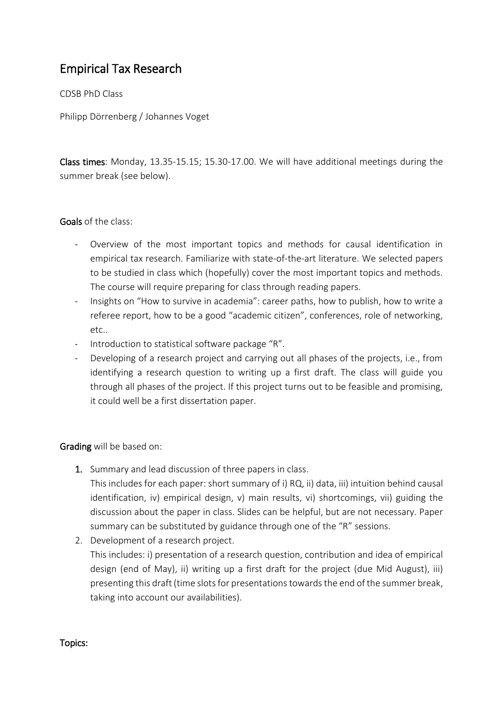# Empirical Tax Research

CDSB PhD Class

Philipp Dörrenberg / Johannes Voget

Class times: Monday, 13.35-15.15; 15.30-17.00. We will have additional meetings during the summer break (see below).

## Goals of the class:

- Overview of the most important topics and methods for causal identification in empirical tax research. Familiarize with state-of-the-art literature. We selected papers to be studied in class which (hopefully) cover the most important topics and methods. The course will require preparing for class through reading papers.
- Insights on "How to survive in academia": career paths, how to publish, how to write a referee report, how to be a good "academic citizen", conferences, role of networking, etc..
- Introduction to statistical software package "R".
- Developing of a research project and carrying out all phases of the projects, i.e., from identifying a research question to writing up a first draft. The class will guide you through all phases of the project. If this project turns out to be feasible and promising, it could well be a first dissertation paper.

## Grading will be based on:

1. Summary and lead discussion of three papers in class.

This includes for each paper: short summary of i) RQ, ii) data, iii) intuition behind causal identification, iv) empirical design, v) main results, vi) shortcomings, vii) guiding the discussion about the paper in class. Slides can be helpful, but are not necessary. Paper summary can be substituted by guidance through one of the "R" sessions.

2. Development of a research project.

This includes: i) presentation of a research question, contribution and idea of empirical design (end of May), ii) writing up a first draft for the project (due Mid August), iii) presenting this draft (time slots for presentations towards the end of the summer break, taking into account our availabilities).

#### Topics: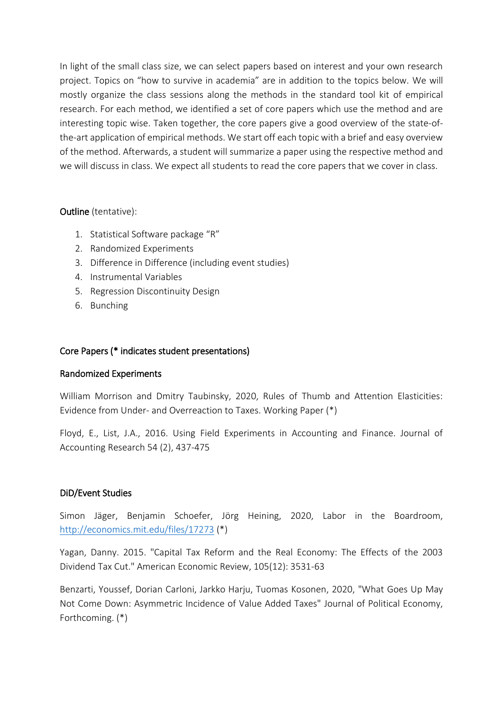In light of the small class size, we can select papers based on interest and your own research project. Topics on "how to survive in academia" are in addition to the topics below. We will mostly organize the class sessions along the methods in the standard tool kit of empirical research. For each method, we identified a set of core papers which use the method and are interesting topic wise. Taken together, the core papers give a good overview of the state-ofthe-art application of empirical methods. We start off each topic with a brief and easy overview of the method. Afterwards, a student will summarize a paper using the respective method and we will discuss in class. We expect all students to read the core papers that we cover in class.

# Outline (tentative):

- 1. Statistical Software package "R"
- 2. Randomized Experiments
- 3. Difference in Difference (including event studies)
- 4. Instrumental Variables
- 5. Regression Discontinuity Design
- 6. Bunching

## Core Papers (\* indicates student presentations)

## Randomized Experiments

William Morrison and Dmitry Taubinsky, 2020, Rules of Thumb and Attention Elasticities: Evidence from Under- and Overreaction to Taxes. Working Paper (\*)

Floyd, E., List, J.A., 2016. Using Field Experiments in Accounting and Finance. Journal of Accounting Research 54 (2), 437-475

## DiD/Event Studies

Simon Jäger, Benjamin Schoefer, Jörg Heining, 2020, Labor in the Boardroom, <http://economics.mit.edu/files/17273> (\*)

Yagan, Danny. 2015. "Capital Tax Reform and the Real Economy: The Effects of the 2003 Dividend Tax Cut." American Economic Review, 105(12): 3531-63

Benzarti, Youssef, Dorian Carloni, Jarkko Harju, Tuomas Kosonen, 2020, "What Goes Up May Not Come Down: Asymmetric Incidence of Value Added Taxes" Journal of Political Economy, Forthcoming. (\*)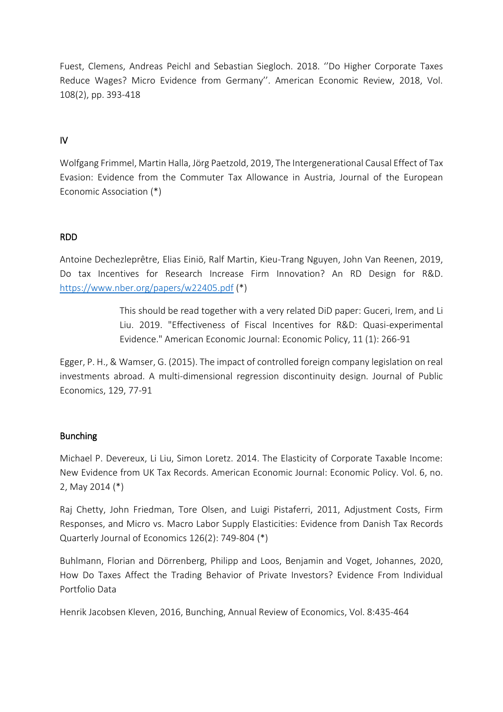Fuest, Clemens, Andreas Peichl and Sebastian Siegloch. 2018. ''Do Higher Corporate Taxes Reduce Wages? Micro Evidence from Germany''. American Economic Review, 2018, Vol. 108(2), pp. 393-418

# IV

Wolfgang Frimmel, Martin Halla, Jörg Paetzold, 2019, The Intergenerational Causal Effect of Tax Evasion: Evidence from the Commuter Tax Allowance in Austria, Journal of the European Economic Association (\*)

# RDD

Antoine Dechezleprêtre, Elias Einiö, Ralf Martin, Kieu-Trang Nguyen, John Van Reenen, 2019, Do tax Incentives for Research Increase Firm Innovation? An RD Design for R&D. <https://www.nber.org/papers/w22405.pdf> (\*)

> This should be read together with a very related DiD paper: Guceri, Irem, and Li Liu. 2019. "Effectiveness of Fiscal Incentives for R&D: Quasi-experimental Evidence." American Economic Journal: Economic Policy, 11 (1): 266-91

Egger, P. H., & Wamser, G. (2015). The impact of controlled foreign company legislation on real investments abroad. A multi-dimensional regression discontinuity design. Journal of Public Economics, 129, 77-91

## Bunching

Michael P. Devereux, Li Liu, Simon Loretz. 2014. The Elasticity of Corporate Taxable Income: New Evidence from UK Tax Records. American Economic Journal: Economic Policy. Vol. 6, no. 2, May 2014 (\*)

Raj Chetty, John Friedman, Tore Olsen, and Luigi Pistaferri, 2011, Adjustment Costs, Firm Responses, and Micro vs. Macro Labor Supply Elasticities: Evidence from Danish Tax Records Quarterly Journal of Economics 126(2): 749-804 (\*)

Buhlmann, Florian and Dörrenberg, Philipp and Loos, Benjamin and Voget, Johannes, 2020, How Do Taxes Affect the Trading Behavior of Private Investors? Evidence From Individual Portfolio Data

Henrik Jacobsen Kleven, 2016, Bunching, Annual Review of Economics, Vol. 8:435-464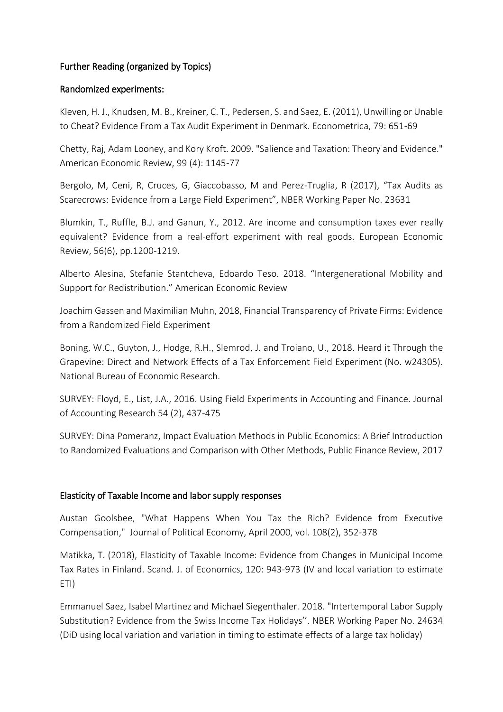# Further Reading (organized by Topics)

#### Randomized experiments:

Kleven, H. J., Knudsen, M. B., Kreiner, C. T., Pedersen, S. and Saez, E. (2011), Unwilling or Unable to Cheat? Evidence From a Tax Audit Experiment in Denmark. Econometrica, 79: 651-69

Chetty, Raj, Adam Looney, and Kory Kroft. 2009. "Salience and Taxation: Theory and Evidence." American Economic Review, 99 (4): 1145-77

Bergolo, M, Ceni, R, Cruces, G, Giaccobasso, M and Perez-Truglia, R (2017), "Tax Audits as Scarecrows: Evidence from a Large Field Experiment", NBER Working Paper No. 23631

Blumkin, T., Ruffle, B.J. and Ganun, Y., 2012. Are income and consumption taxes ever really equivalent? Evidence from a real-effort experiment with real goods. European Economic Review, 56(6), pp.1200-1219.

Alberto Alesina, Stefanie Stantcheva, Edoardo Teso. 2018. "Intergenerational Mobility and Support for Redistribution." American Economic Review

Joachim Gassen and Maximilian Muhn, 2018, Financial Transparency of Private Firms: Evidence from a Randomized Field Experiment

Boning, W.C., Guyton, J., Hodge, R.H., Slemrod, J. and Troiano, U., 2018. Heard it Through the Grapevine: Direct and Network Effects of a Tax Enforcement Field Experiment (No. w24305). National Bureau of Economic Research.

SURVEY: Floyd, E., List, J.A., 2016. Using Field Experiments in Accounting and Finance. Journal of Accounting Research 54 (2), 437-475

SURVEY: Dina Pomeranz, Impact Evaluation Methods in Public Economics: A Brief Introduction to Randomized Evaluations and Comparison with Other Methods, Public Finance Review, 2017

## Elasticity of Taxable Income and labor supply responses

Austan Goolsbee, "What Happens When You Tax the Rich? Evidence from Executive Compensation," Journal of Political Economy, April 2000, vol. 108(2), 352-378

Matikka, T. (2018), Elasticity of Taxable Income: Evidence from Changes in Municipal Income Tax Rates in Finland. Scand. J. of Economics, 120: 943-973 (IV and local variation to estimate ETI)

Emmanuel Saez, Isabel Martinez and Michael Siegenthaler. 2018. "Intertemporal Labor Supply Substitution? Evidence from the Swiss Income Tax Holidays''. NBER Working Paper No. 24634 (DiD using local variation and variation in timing to estimate effects of a large tax holiday)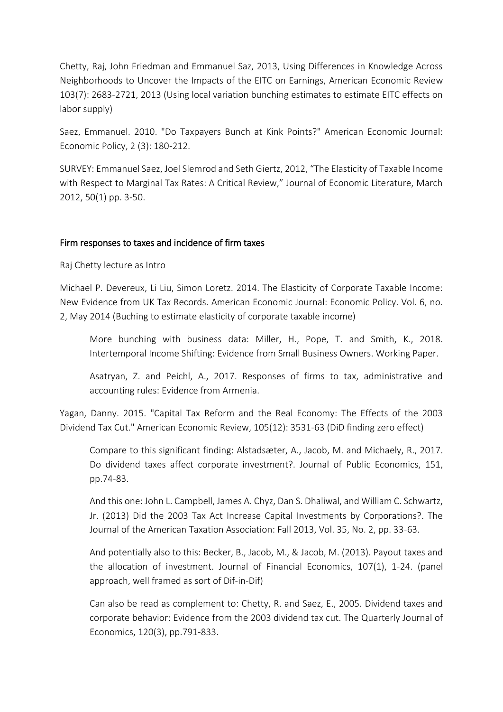Chetty, Raj, John Friedman and Emmanuel Saz, 2013, Using Differences in Knowledge Across Neighborhoods to Uncover the Impacts of the EITC on Earnings, American Economic Review 103(7): 2683-2721, 2013 (Using local variation bunching estimates to estimate EITC effects on labor supply)

Saez, Emmanuel. 2010. "Do Taxpayers Bunch at Kink Points?" American Economic Journal: Economic Policy, 2 (3): 180-212.

SURVEY: Emmanuel Saez, Joel Slemrod and Seth Giertz, 2012, "The Elasticity of Taxable Income with Respect to Marginal Tax Rates: A Critical Review," Journal of Economic Literature, March 2012, 50(1) pp. 3-50.

## Firm responses to taxes and incidence of firm taxes

Raj Chetty lecture as Intro

Michael P. Devereux, Li Liu, Simon Loretz. 2014. The Elasticity of Corporate Taxable Income: New Evidence from UK Tax Records. American Economic Journal: Economic Policy. Vol. 6, no. 2, May 2014 (Buching to estimate elasticity of corporate taxable income)

More bunching with business data: Miller, H., Pope, T. and Smith, K., 2018. Intertemporal Income Shifting: Evidence from Small Business Owners. Working Paper.

Asatryan, Z. and Peichl, A., 2017. Responses of firms to tax, administrative and accounting rules: Evidence from Armenia.

Yagan, Danny. 2015. "Capital Tax Reform and the Real Economy: The Effects of the 2003 Dividend Tax Cut." American Economic Review, 105(12): 3531-63 (DiD finding zero effect)

Compare to this significant finding: Alstadsæter, A., Jacob, M. and Michaely, R., 2017. Do dividend taxes affect corporate investment?. Journal of Public Economics, 151, pp.74-83.

And this one: John L. Campbell, James A. Chyz, Dan S. Dhaliwal, and William C. Schwartz, Jr. (2013) Did the 2003 Tax Act Increase Capital Investments by Corporations?. The Journal of the American Taxation Association: Fall 2013, Vol. 35, No. 2, pp. 33-63.

And potentially also to this: Becker, B., Jacob, M., & Jacob, M. (2013). Payout taxes and the allocation of investment. Journal of Financial Economics, 107(1), 1-24. (panel approach, well framed as sort of Dif-in-Dif)

Can also be read as complement to: Chetty, R. and Saez, E., 2005. Dividend taxes and corporate behavior: Evidence from the 2003 dividend tax cut. The Quarterly Journal of Economics, 120(3), pp.791-833.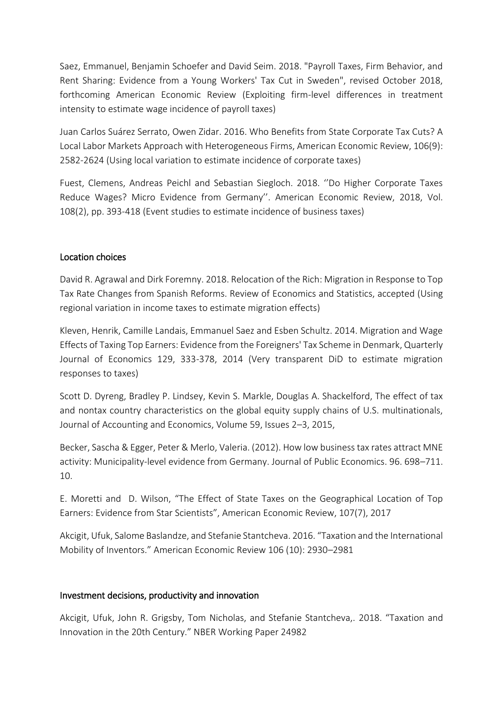Saez, Emmanuel, Benjamin Schoefer and David Seim. 2018. "Payroll Taxes, Firm Behavior, and Rent Sharing: Evidence from a Young Workers' Tax Cut in Sweden", revised October 2018, forthcoming American Economic Review (Exploiting firm-level differences in treatment intensity to estimate wage incidence of payroll taxes)

Juan Carlos Suárez Serrato, Owen Zidar. 2016. Who Benefits from State Corporate Tax Cuts? A Local Labor Markets Approach with Heterogeneous Firms, American Economic Review, 106(9): 2582-2624 (Using local variation to estimate incidence of corporate taxes)

Fuest, Clemens, Andreas Peichl and Sebastian Siegloch. 2018. ''Do Higher Corporate Taxes Reduce Wages? Micro Evidence from Germany''. American Economic Review, 2018, Vol. 108(2), pp. 393-418 (Event studies to estimate incidence of business taxes)

## Location choices

David R. Agrawal and Dirk Foremny. 2018. Relocation of the Rich: Migration in Response to Top Tax Rate Changes from Spanish Reforms. Review of Economics and Statistics, accepted (Using regional variation in income taxes to estimate migration effects)

Kleven, Henrik, Camille Landais, Emmanuel Saez and Esben Schultz. 2014. Migration and Wage Effects of Taxing Top Earners: Evidence from the Foreigners' Tax Scheme in Denmark, Quarterly Journal of Economics 129, 333-378, 2014 (Very transparent DiD to estimate migration responses to taxes)

Scott D. Dyreng, Bradley P. Lindsey, Kevin S. Markle, Douglas A. Shackelford, The effect of tax and nontax country characteristics on the global equity supply chains of U.S. multinationals, Journal of Accounting and Economics, Volume 59, Issues 2–3, 2015,

Becker, Sascha & Egger, Peter & Merlo, Valeria. (2012). How low business tax rates attract MNE activity: Municipality-level evidence from Germany. Journal of Public Economics. 96. 698–711. 10.

E. Moretti and D. Wilson, "The Effect of State Taxes on the Geographical Location of Top Earners: Evidence from Star Scientists", American Economic Review, 107(7), 2017

Akcigit, Ufuk, Salome Baslandze, and Stefanie Stantcheva. 2016. "Taxation and the International Mobility of Inventors." American Economic Review 106 (10): 2930–2981

#### Investment decisions, productivity and innovation

Akcigit, Ufuk, John R. Grigsby, Tom Nicholas, and Stefanie Stantcheva,. 2018. "Taxation and Innovation in the 20th Century." NBER Working Paper 24982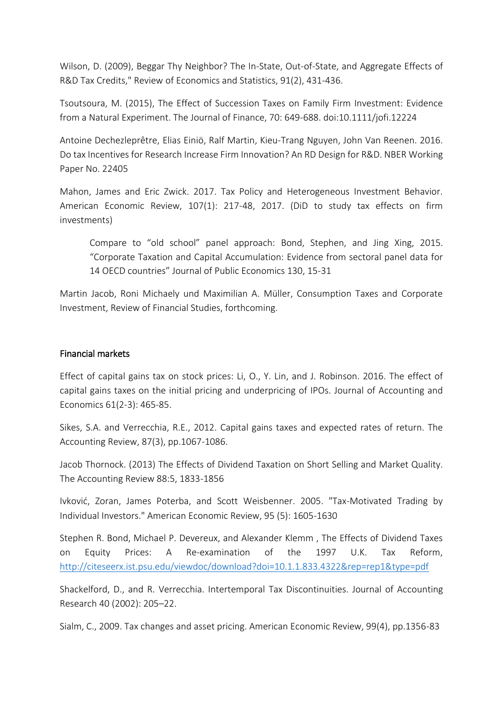Wilson, D. (2009), Beggar Thy Neighbor? The In-State, Out-of-State, and Aggregate Effects of R&D Tax Credits," Review of Economics and Statistics, 91(2), 431-436.

Tsoutsoura, M. (2015), The Effect of Succession Taxes on Family Firm Investment: Evidence from a Natural Experiment. The Journal of Finance, 70: 649-688. doi:10.1111/jofi.12224

Antoine Dechezleprêtre, Elias Einiö, Ralf Martin, Kieu-Trang Nguyen, John Van Reenen. 2016. Do tax Incentives for Research Increase Firm Innovation? An RD Design for R&D. NBER Working Paper No. 22405

Mahon, James and Eric Zwick. 2017. Tax Policy and Heterogeneous Investment Behavior. American Economic Review, 107(1): 217-48, 2017. (DiD to study tax effects on firm investments)

Compare to "old school" panel approach: Bond, Stephen, and Jing Xing, 2015. "Corporate Taxation and Capital Accumulation: Evidence from sectoral panel data for 14 OECD countries" Journal of Public Economics 130, 15-31

Martin Jacob, Roni Michaely und Maximilian A. Müller, Consumption Taxes and Corporate Investment, Review of Financial Studies, forthcoming.

#### Financial markets

Effect of capital gains tax on stock prices: Li, O., Y. Lin, and J. Robinson. 2016. The effect of capital gains taxes on the initial pricing and underpricing of IPOs. Journal of Accounting and Economics 61(2-3): 465-85.

Sikes, S.A. and Verrecchia, R.E., 2012. Capital gains taxes and expected rates of return. The Accounting Review, 87(3), pp.1067-1086.

Jacob Thornock. (2013) The Effects of Dividend Taxation on Short Selling and Market Quality. The Accounting Review 88:5, 1833-1856

Ivković, Zoran, James Poterba, and Scott Weisbenner. 2005. "Tax-Motivated Trading by Individual Investors." American Economic Review, 95 (5): 1605-1630

Stephen R. Bond, Michael P. Devereux, and Alexander Klemm , The Effects of Dividend Taxes on Equity Prices: A Re-examination of the 1997 U.K. Tax Reform, <http://citeseerx.ist.psu.edu/viewdoc/download?doi=10.1.1.833.4322&rep=rep1&type=pdf>

Shackelford, D., and R. Verrecchia. Intertemporal Tax Discontinuities. Journal of Accounting Research 40 (2002): 205–22.

Sialm, C., 2009. Tax changes and asset pricing. American Economic Review, 99(4), pp.1356-83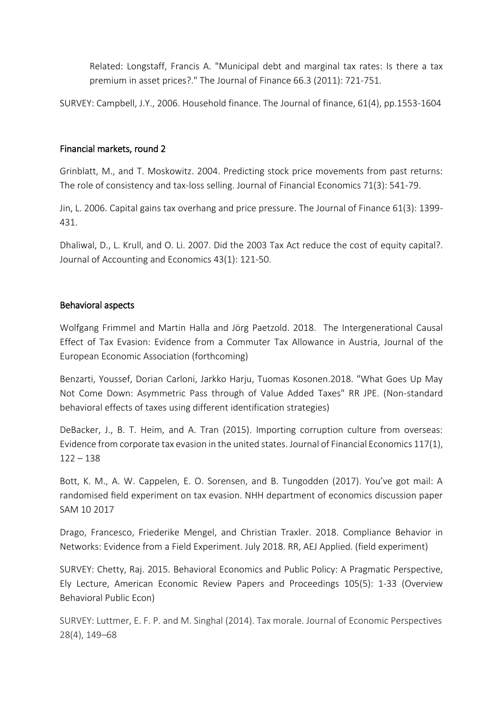Related: Longstaff, Francis A. "Municipal debt and marginal tax rates: Is there a tax premium in asset prices?." The Journal of Finance 66.3 (2011): 721-751.

SURVEY: Campbell, J.Y., 2006. Household finance. The Journal of finance, 61(4), pp.1553-1604

## Financial markets, round 2

Grinblatt, M., and T. Moskowitz. 2004. Predicting stock price movements from past returns: The role of consistency and tax-loss selling. Journal of Financial Economics 71(3): 541-79.

Jin, L. 2006. Capital gains tax overhang and price pressure. The Journal of Finance 61(3): 1399- 431.

Dhaliwal, D., L. Krull, and O. Li. 2007. Did the 2003 Tax Act reduce the cost of equity capital?. Journal of Accounting and Economics 43(1): 121-50.

# Behavioral aspects

Wolfgang Frimmel and Martin Halla and Jörg Paetzold. 2018. The Intergenerational Causal Effect of Tax Evasion: Evidence from a Commuter Tax Allowance in Austria, Journal of the European Economic Association (forthcoming)

Benzarti, Youssef, Dorian Carloni, Jarkko Harju, Tuomas Kosonen.2018. "What Goes Up May Not Come Down: Asymmetric Pass through of Value Added Taxes" RR JPE. (Non-standard behavioral effects of taxes using different identification strategies)

DeBacker, J., B. T. Heim, and A. Tran (2015). Importing corruption culture from overseas: Evidence from corporate tax evasion in the united states. Journal of Financial Economics 117(1),  $122 - 138$ 

Bott, K. M., A. W. Cappelen, E. O. Sorensen, and B. Tungodden (2017). You've got mail: A randomised field experiment on tax evasion. NHH department of economics discussion paper SAM 10 2017

Drago, Francesco, Friederike Mengel, and Christian Traxler. 2018. Compliance Behavior in Networks: Evidence from a Field Experiment. July 2018. RR, AEJ Applied. (field experiment)

SURVEY: Chetty, Raj. 2015. Behavioral Economics and Public Policy: A Pragmatic Perspective, Ely Lecture, American Economic Review Papers and Proceedings 105(5): 1-33 (Overview Behavioral Public Econ)

SURVEY: Luttmer, E. F. P. and M. Singhal (2014). Tax morale. Journal of Economic Perspectives 28(4), 149–68